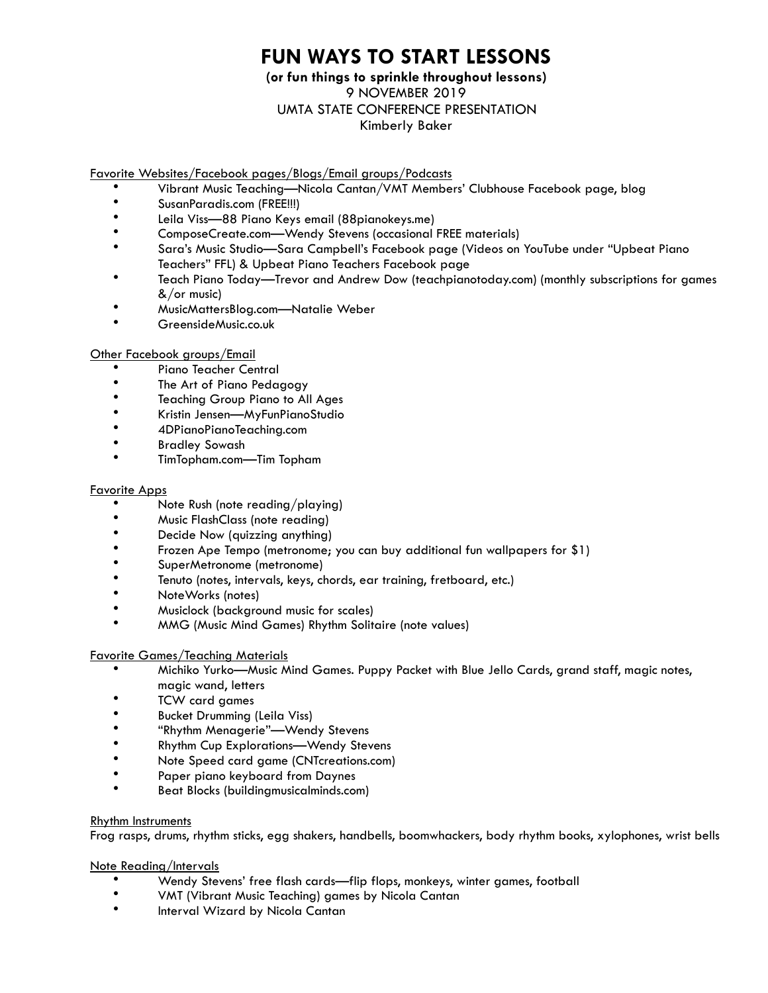# **FUN WAYS TO START LESSONS**

# **(or fun things to sprinkle throughout lessons)**  9 NOVEMBER 2019 UMTA STATE CONFERENCE PRESENTATION Kimberly Baker

#### Favorite Websites/Facebook pages/Blogs/Email groups/Podcasts

- Vibrant Music Teaching—Nicola Cantan/VMT Members' Clubhouse Facebook page, blog
- SusanParadis.com (FREE!!!)
- Leila Viss—88 Piano Keys email (88pianokeys.me)
- ComposeCreate.com—Wendy Stevens (occasional FREE materials)
- Sara's Music Studio—Sara Campbell's Facebook page (Videos on YouTube under "Upbeat Piano Teachers" FFL) & Upbeat Piano Teachers Facebook page
- Teach Piano Today—Trevor and Andrew Dow (teachpianotoday.com) (monthly subscriptions for games &/or music)
- MusicMattersBlog.com—Natalie Weber
- GreensideMusic.co.uk

## Other Facebook groups/Email

- Piano Teacher Central
- The Art of Piano Pedagogy
- Teaching Group Piano to All Ages
- Kristin Jensen—MyFunPianoStudio
- 4DPianoPianoTeaching.com
- Bradley Sowash
- TimTopham.com—Tim Topham

#### Favorite Apps

- Note Rush (note reading/playing)
- Music FlashClass (note reading)
- Decide Now (quizzing anything)
- Frozen Ape Tempo (metronome; you can buy additional fun wallpapers for \$1)
- SuperMetronome (metronome)<br>• Tenute (natae internale lesse al
- Tenuto (notes, intervals, keys, chords, ear training, fretboard, etc.)
- NoteWorks (notes)
- Musiclock (background music for scales)
- MMG (Music Mind Games) Rhythm Solitaire (note values)

#### Favorite Games/Teaching Materials

- Michiko Yurko—Music Mind Games. Puppy Packet with Blue Jello Cards, grand staff, magic notes, magic wand, letters
- TCW card games
- Bucket Drumming (Leila Viss)
- "Rhythm Menagerie"—Wendy Stevens
- Rhythm Cup Explorations—Wendy Stevens
- Note Speed card game (CNTcreations.com)
- Paper piano keyboard from Daynes
- Beat Blocks (buildingmusicalminds.com)

#### Rhythm Instruments

Frog rasps, drums, rhythm sticks, egg shakers, handbells, boomwhackers, body rhythm books, xylophones, wrist bells

#### Note Reading/Intervals

- Wendy Stevens' free flash cards—flip flops, monkeys, winter games, football
- VMT (Vibrant Music Teaching) games by Nicola Cantan
- Interval Wizard by Nicola Cantan